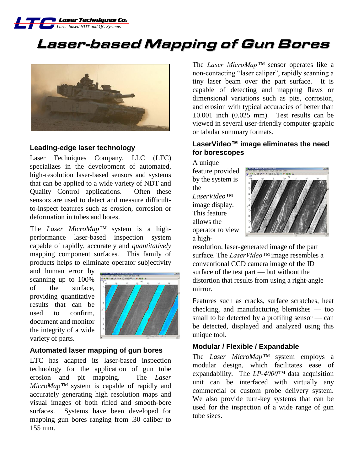

# Laser-based Mapping of Gun Bores



#### **Leading-edge laser technology**

Laser Techniques Company, LLC (LTC) specializes in the development of automated, high-resolution laser-based sensors and systems that can be applied to a wide variety of NDT and Quality Control applications. Often these sensors are used to detect and measure difficultto-inspect features such as erosion, corrosion or deformation in tubes and bores.

The *Laser MicroMap™* system is a highperformance laser-based inspection system capable of rapidly, accurately and *quantitatively* mapping component surfaces. This family of products helps to eliminate operator subjectivity

and human error by scanning up to 100% of the surface, providing quantitative results that can be used to confirm, document and monitor the integrity of a wide variety of parts.



#### **Automated laser mapping of gun bores**

LTC has adapted its laser-based inspection technology for the application of gun tube erosion and pit mapping. The *Laser MicroMap™* system is capable of rapidly and accurately generating high resolution maps and visual images of both rifled and smooth-bore surfaces. Systems have been developed for mapping gun bores ranging from .30 caliber to 155 mm.

The *Laser MicroMap™* sensor operates like a non-contacting "laser caliper", rapidly scanning a tiny laser beam over the part surface. It is capable of detecting and mapping flaws or dimensional variations such as pits, corrosion, and erosion with typical accuracies of better than  $\pm 0.001$  inch (0.025 mm). Test results can be viewed in several user-friendly computer-graphic or tabular summary formats.

## **LaserVideo™ image eliminates the need for borescopes**

A unique feature provided by the system is the *LaserVideo™* image display. This feature allows the operator to view a high-



resolution, laser-generated image of the part surface. The *LaserVideo™* image resembles a conventional CCD camera image of the ID surface of the test part — but without the distortion that results from using a right-angle mirror.

Features such as cracks, surface scratches, heat checking, and manufacturing blemishes — too small to be detected by a profiling sensor — can be detected, displayed and analyzed using this unique tool.

#### **Modular / Flexible / Expandable**

The *Laser MicroMap™* system employs a modular design, which facilitates ease of expandability. The *LP-4000™* data acquisition unit can be interfaced with virtually any commercial or custom probe delivery system. We also provide turn-key systems that can be used for the inspection of a wide range of gun tube sizes.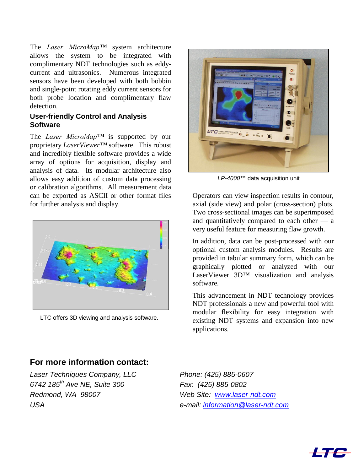The *Laser MicroMap™* system architecture allows the system to be integrated with complimentary NDT technologies such as eddycurrent and ultrasonics. Numerous integrated sensors have been developed with both bobbin and single-point rotating eddy current sensors for both probe location and complimentary flaw detection.

## **User-friendly Control and Analysis Software**

The *Laser MicroMap™* is supported by our proprietary *LaserViewer™* software. This robust and incredibly flexible software provides a wide array of options for acquisition, display and analysis of data. Its modular architecture also allows easy addition of custom data processing or calibration algorithms. All measurement data can be exported as ASCII or other format files for further analysis and display.



LTC offers 3D viewing and analysis software.



*LP-4000™* data acquisition unit

Operators can view inspection results in contour, axial (side view) and polar (cross-section) plots. Two cross-sectional images can be superimposed and quantitatively compared to each other — a very useful feature for measuring flaw growth.

In addition, data can be post-processed with our optional custom analysis modules. Results are provided in tabular summary form, which can be graphically plotted or analyzed with our LaserViewer 3D™ visualization and analysis software.

This advancement in NDT technology provides NDT professionals a new and powerful tool with modular flexibility for easy integration with existing NDT systems and expansion into new applications.

# **For more information contact:**

*Laser Techniques Company, LLC Phone: (425) 885-0607 6742 185th Ave NE, Suite 300 Fax: (425) 885-0802 Redmond, WA 98007 Web Site: [www.laser-ndt.com](http://www.laser-ndt.com/)*

*USA e-mail: [information@laser-ndt.com](mailto:information@laser-ndt.com?subject=Inquiry)*

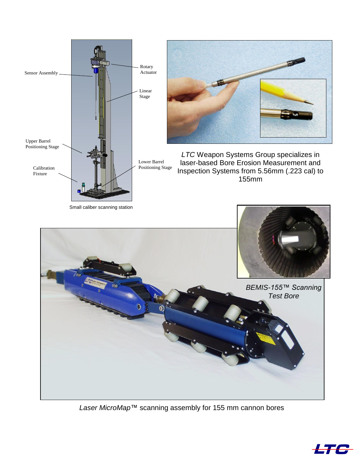

Small caliber scanning station



*LTC* Weapon Systems Group specializes in laser-based Bore Erosion Measurement and Inspection Systems from 5.56mm (.223 cal) to 155mm



*Laser MicroMap*™ scanning assembly for 155 mm cannon bores

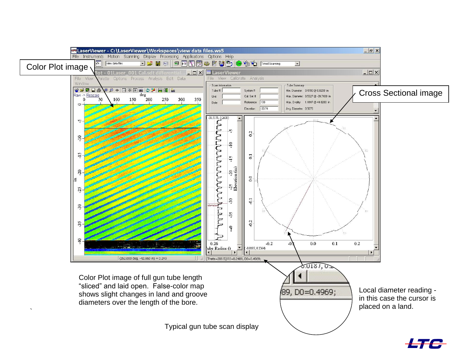

**LTC**